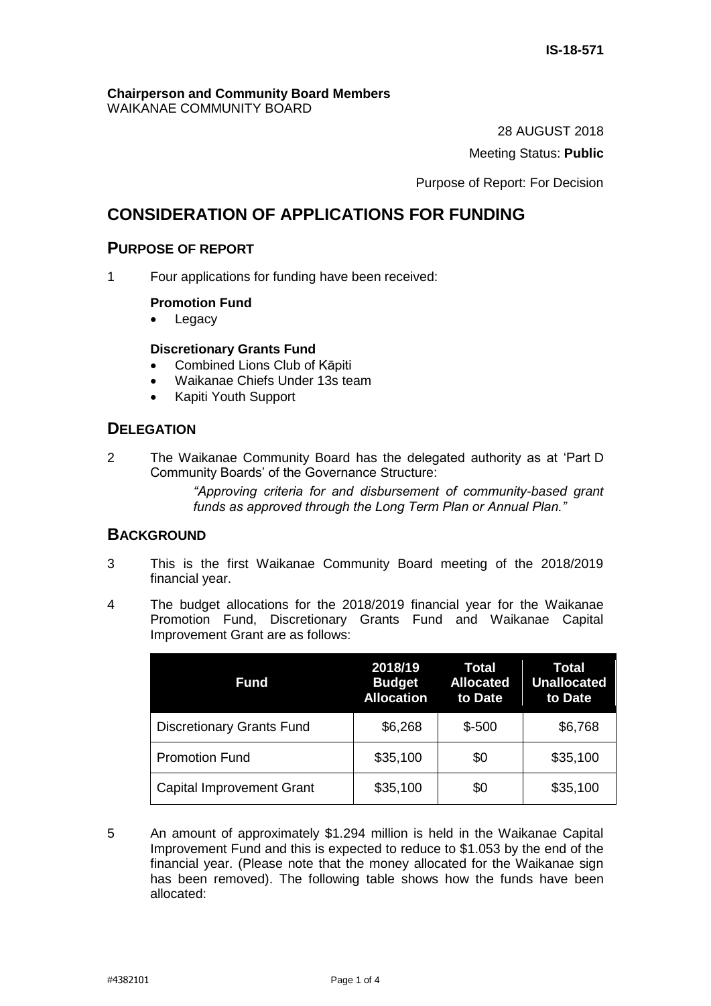#### **Chairperson and Community Board Members** WAIKANAE COMMUNITY BOARD

28 AUGUST 2018

Meeting Status: **Public**

Purpose of Report: For Decision

# **CONSIDERATION OF APPLICATIONS FOR FUNDING**

# **PURPOSE OF REPORT**

1 Four applications for funding have been received:

# **Promotion Fund**

• Legacy

## **Discretionary Grants Fund**

- Combined Lions Club of Kāpiti
- Waikanae Chiefs Under 13s team
- Kapiti Youth Support

# **DELEGATION**

2 The Waikanae Community Board has the delegated authority as at 'Part D Community Boards' of the Governance Structure:

> *"Approving criteria for and disbursement of community-based grant funds as approved through the Long Term Plan or Annual Plan."*

# **BACKGROUND**

- 3 This is the first Waikanae Community Board meeting of the 2018/2019 financial year.
- 4 The budget allocations for the 2018/2019 financial year for the Waikanae Promotion Fund, Discretionary Grants Fund and Waikanae Capital Improvement Grant are as follows:

| Fund                             | 2018/19<br><b>Budget</b><br><b>Allocation</b> | Total<br><b>Allocated</b><br>to Date | Total<br><b>Unallocated</b><br>to Date |
|----------------------------------|-----------------------------------------------|--------------------------------------|----------------------------------------|
| <b>Discretionary Grants Fund</b> | \$6,268                                       | $$ -500$                             | \$6,768                                |
| <b>Promotion Fund</b>            | \$35,100                                      | \$0                                  | \$35,100                               |
| <b>Capital Improvement Grant</b> | \$35,100                                      | \$0                                  | \$35,100                               |

5 An amount of approximately \$1.294 million is held in the Waikanae Capital Improvement Fund and this is expected to reduce to \$1.053 by the end of the financial year. (Please note that the money allocated for the Waikanae sign has been removed). The following table shows how the funds have been allocated: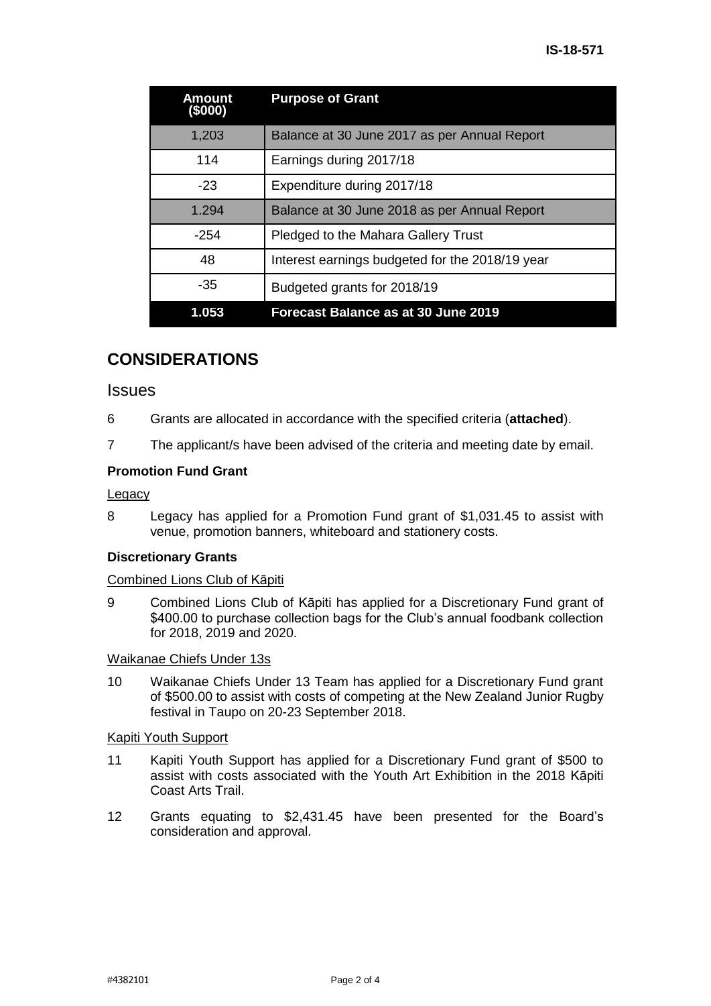| Amount<br>(\$000) | <b>Purpose of Grant</b>                         |
|-------------------|-------------------------------------------------|
| 1,203             | Balance at 30 June 2017 as per Annual Report    |
| 114               | Earnings during 2017/18                         |
| $-23$             | Expenditure during 2017/18                      |
| 1.294             | Balance at 30 June 2018 as per Annual Report    |
| $-254$            | Pledged to the Mahara Gallery Trust             |
| 48                | Interest earnings budgeted for the 2018/19 year |
| -35               | Budgeted grants for 2018/19                     |
| 1.053             | Forecast Balance as at 30 June 2019             |

# **CONSIDERATIONS**

## **Issues**

- 6 Grants are allocated in accordance with the specified criteria (**attached**).
- 7 The applicant/s have been advised of the criteria and meeting date by email.

## **Promotion Fund Grant**

#### **Legacy**

8 Legacy has applied for a Promotion Fund grant of \$1,031.45 to assist with venue, promotion banners, whiteboard and stationery costs.

#### **Discretionary Grants**

#### Combined Lions Club of Kāpiti

9 Combined Lions Club of Kāpiti has applied for a Discretionary Fund grant of \$400.00 to purchase collection bags for the Club's annual foodbank collection for 2018, 2019 and 2020.

#### Waikanae Chiefs Under 13s

10 Waikanae Chiefs Under 13 Team has applied for a Discretionary Fund grant of \$500.00 to assist with costs of competing at the New Zealand Junior Rugby festival in Taupo on 20-23 September 2018.

#### Kapiti Youth Support

- 11 Kapiti Youth Support has applied for a Discretionary Fund grant of \$500 to assist with costs associated with the Youth Art Exhibition in the 2018 Kāpiti Coast Arts Trail.
- 12 Grants equating to \$2,431.45 have been presented for the Board's consideration and approval.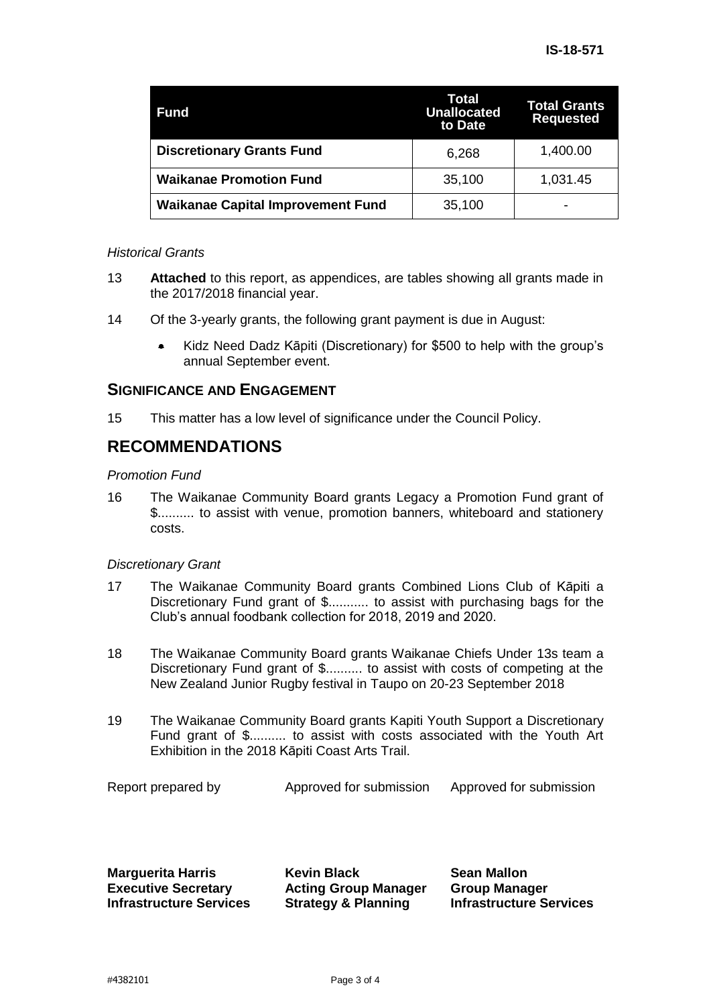| <b>Fund</b>                              | Total<br><b>Unallocated</b><br>to Date | <b>Total Grants</b><br><b>Requested</b> |
|------------------------------------------|----------------------------------------|-----------------------------------------|
| <b>Discretionary Grants Fund</b>         | 6,268                                  | 1,400.00                                |
| <b>Waikanae Promotion Fund</b>           | 35,100                                 | 1,031.45                                |
| <b>Waikanae Capital Improvement Fund</b> | 35,100                                 | -                                       |

#### *Historical Grants*

- 13 **Attached** to this report, as appendices, are tables showing all grants made in the 2017/2018 financial year.
- 14 Of the 3-yearly grants, the following grant payment is due in August:
	- Kidz Need Dadz Kāpiti (Discretionary) for \$500 to help with the group's annual September event.

## **SIGNIFICANCE AND ENGAGEMENT**

15 This matter has a low level of significance under the Council Policy.

# **RECOMMENDATIONS**

## *Promotion Fund*

16 The Waikanae Community Board grants Legacy a Promotion Fund grant of \$.......... to assist with venue, promotion banners, whiteboard and stationery costs.

## *Discretionary Grant*

- 17 The Waikanae Community Board grants Combined Lions Club of Kāpiti a Discretionary Fund grant of \$........... to assist with purchasing bags for the Club's annual foodbank collection for 2018, 2019 and 2020.
- 18 The Waikanae Community Board grants Waikanae Chiefs Under 13s team a Discretionary Fund grant of \$.......... to assist with costs of competing at the New Zealand Junior Rugby festival in Taupo on 20-23 September 2018
- 19 The Waikanae Community Board grants Kapiti Youth Support a Discretionary Fund grant of \$.......... to assist with costs associated with the Youth Art Exhibition in the 2018 Kāpiti Coast Arts Trail.

| Report prepared by | Approved for submission | Approved for submission |
|--------------------|-------------------------|-------------------------|
|--------------------|-------------------------|-------------------------|

**Marguerita Harris Executive Secretary Infrastructure Services** **Kevin Black Acting Group Manager Strategy & Planning** 

**Sean Mallon Group Manager Infrastructure Services**